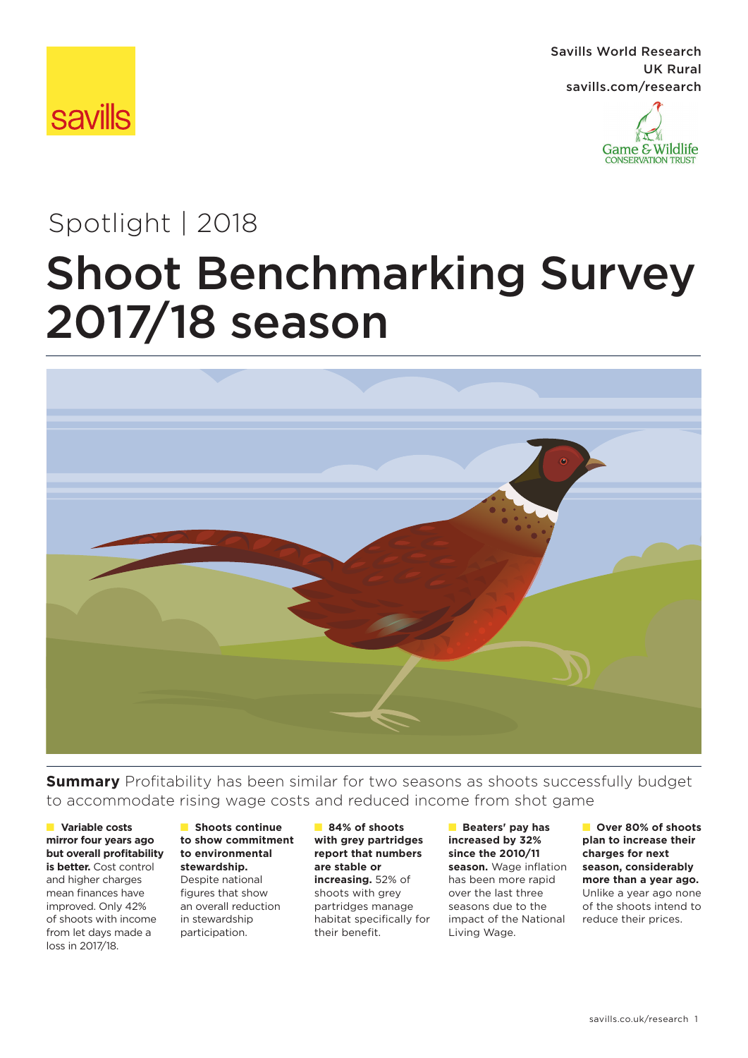

Savills World Research UK Rural savills.com/research



# Shoot Benchmarking Survey 2017/18 season Spotlight | 2018



**Summary** Profitability has been similar for two seasons as shoots successfully budget to accommodate rising wage costs and reduced income from shot game

#### ■ **Variable costs mirror four years ago but overall profitability is better.** Cost control

and higher charges mean finances have improved. Only 42% of shoots with income from let days made a loss in 2017/18.

#### ■ **Shoots continue to show commitment to environmental stewardship.**

Despite national figures that show an overall reduction in stewardship participation.

■ **84% of shoots with grey partridges report that numbers are stable or increasing.** 52% of shoots with grey partridges manage habitat specifically for their benefit.

■ **Beaters' pay has increased by 32% since the 2010/11 season.** Wage inflation has been more rapid over the last three seasons due to the impact of the National Living Wage.

■ **Over 80% of shoots plan to increase their charges for next season, considerably more than a year ago.**  Unlike a year ago none of the shoots intend to reduce their prices.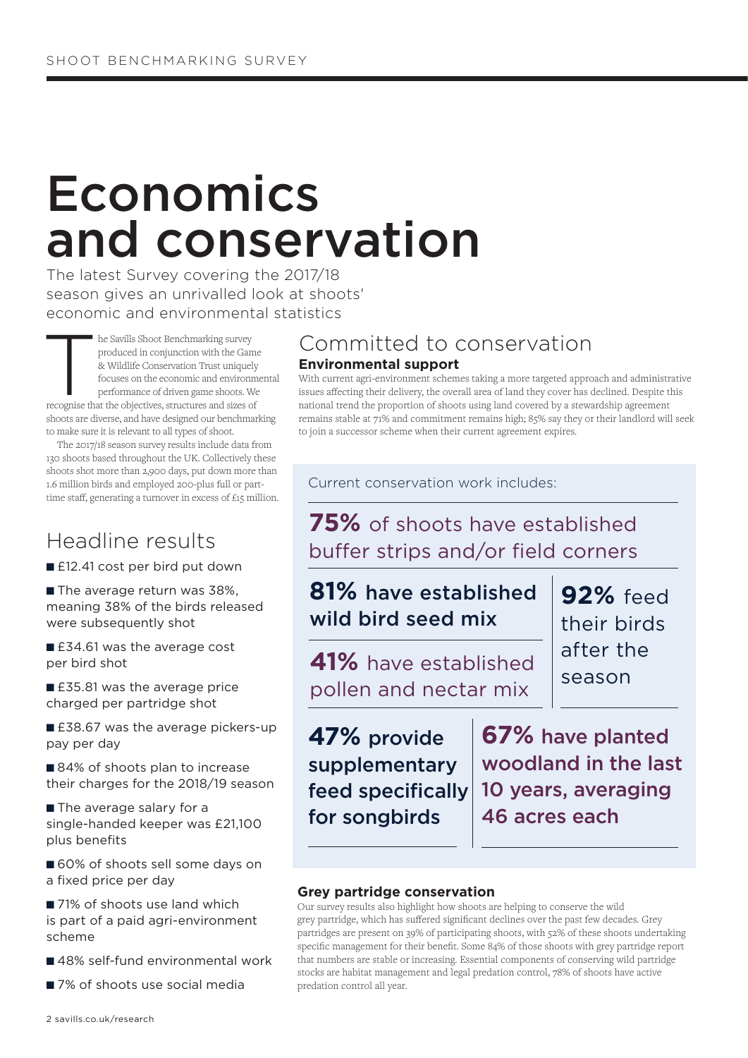# Economics and conservation

The latest Survey covering the 2017/18 season gives an unrivalled look at shoots' economic and environmental statistics

Internal Shoot Benchmarking survey<br>
produced in conjunction with the Game<br>
& Wildlife Conservation Trust uniquely<br>
focuses on the economic and environm<br>
performance of driven game shoots. We<br>
recognise that the objectives, produced in conjunction with the Game & Wildlife Conservation Trust uniquely focuses on the economic and environmental performance of driven game shoots. We shoots are diverse, and have designed our benchmarking to make sure it is relevant to all types of shoot.

The 2017/18 season survey results include data from 130 shoots based throughout the UK. Collectively these shoots shot more than 2,900 days, put down more than 1.6 million birds and employed 200-plus full or parttime staff, generating a turnover in excess of £15 million.

## Headline results

- £12.41 cost per bird put down
- The average return was 38%, meaning 38% of the birds released were subsequently shot
- £34.61 was the average cost per bird shot

■ £35.81 was the average price charged per partridge shot

■ £38.67 was the average pickers-up pay per day

■ 84% of shoots plan to increase their charges for the 2018/19 season

■ The average salary for a single-handed keeper was £21,100 plus benefits

■ 60% of shoots sell some days on a fixed price per day

■ 71% of shoots use land which is part of a paid agri-environment scheme

- 48% self-fund environmental work
- 7% of shoots use social media

### **Environmental support** Committed to conservation

With current agri-environment schemes taking a more targeted approach and administrative issues affecting their delivery, the overall area of land they cover has declined. Despite this national trend the proportion of shoots using land covered by a stewardship agreement remains stable at 71% and commitment remains high; 85% say they or their landlord will seek to join a successor scheme when their current agreement expires.

Current conservation work includes:

**75%** of shoots have established buffer strips and/or field corners

## **81%** have established wild bird seed mix

**41%** have established pollen and nectar mix

**92%** feed their birds after the season

**47%** provide supplementary feed specifically for songbirds

**67%** have planted woodland in the last 10 years, averaging 46 acres each

### **Grey partridge conservation**

Our survey results also highlight how shoots are helping to conserve the wild grey partridge, which has suffered significant declines over the past few decades. Grey partridges are present on 39% of participating shoots, with 52% of these shoots undertaking specific management for their benefit. Some 84% of those shoots with grey partridge report that numbers are stable or increasing. Essential components of conserving wild partridge stocks are habitat management and legal predation control, 78% of shoots have active predation control all year.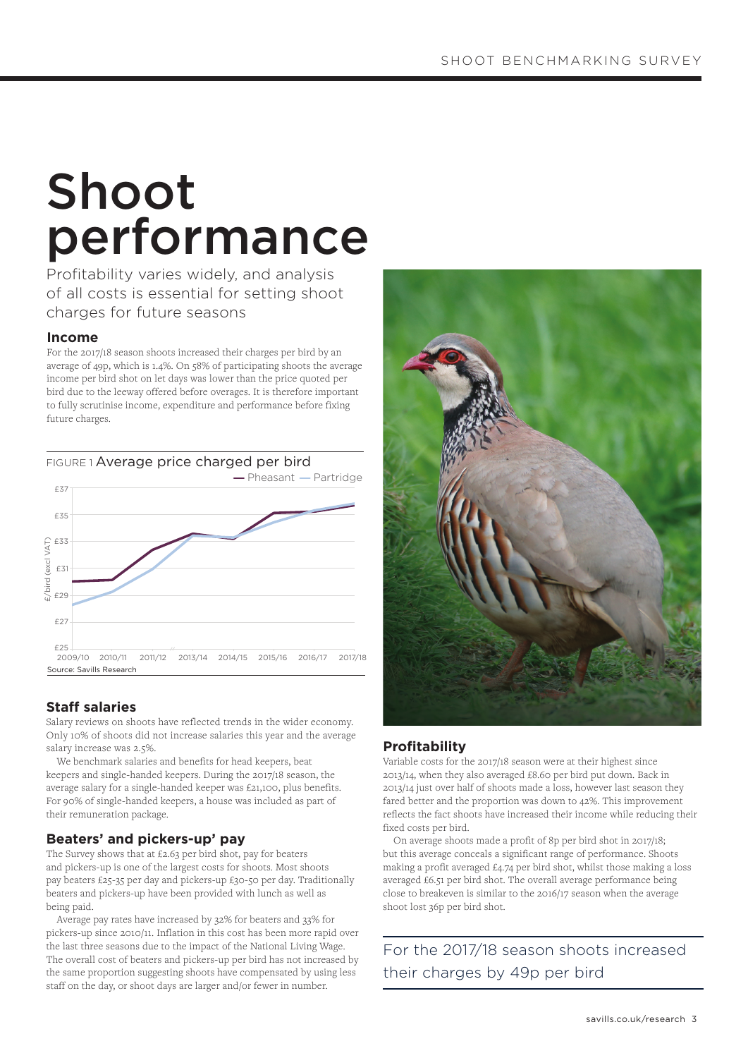# Shoot performance

Profitability varies widely, and analysis of all costs is essential for setting shoot charges for future seasons

#### **Income**

For the 2017/18 season shoots increased their charges per bird by an average of 49p, which is 1.4%. On 58% of participating shoots the average income per bird shot on let days was lower than the price quoted per bird due to the leeway offered before overages. It is therefore important to fully scrutinise income, expenditure and performance before fixing future charges.



### **Staff salaries**

Salary reviews on shoots have reflected trends in the wider economy. Only 10% of shoots did not increase salaries this year and the average salary increase was 2.5%.

We benchmark salaries and benefits for head keepers, beat keepers and single-handed keepers. During the 2017/18 season, the average salary for a single-handed keeper was £21,100, plus benefits. For 90% of single-handed keepers, a house was included as part of their remuneration package.

#### **Beaters' and pickers-up' pay**

The Survey shows that at £2.63 per bird shot, pay for beaters and pickers-up is one of the largest costs for shoots. Most shoots pay beaters £25-35 per day and pickers-up £30-50 per day. Traditionally beaters and pickers-up have been provided with lunch as well as being paid.

Average pay rates have increased by 32% for beaters and 33% for pickers-up since 2010/11. Inflation in this cost has been more rapid over the last three seasons due to the impact of the National Living Wage. The overall cost of beaters and pickers-up per bird has not increased by the same proportion suggesting shoots have compensated by using less staff on the day, or shoot days are larger and/or fewer in number.



#### **Profitability**

Variable costs for the 2017/18 season were at their highest since 2013/14, when they also averaged £8.60 per bird put down. Back in 2013/14 just over half of shoots made a loss, however last season they fared better and the proportion was down to 42%. This improvement reflects the fact shoots have increased their income while reducing their fixed costs per bird.

 On average shoots made a profit of 8p per bird shot in 2017/18; but this average conceals a significant range of performance. Shoots making a profit averaged £4.74 per bird shot, whilst those making a loss averaged £6.51 per bird shot. The overall average performance being close to breakeven is similar to the 2016/17 season when the average shoot lost 36p per bird shot.

For the 2017/18 season shoots increased their charges by 49p per bird